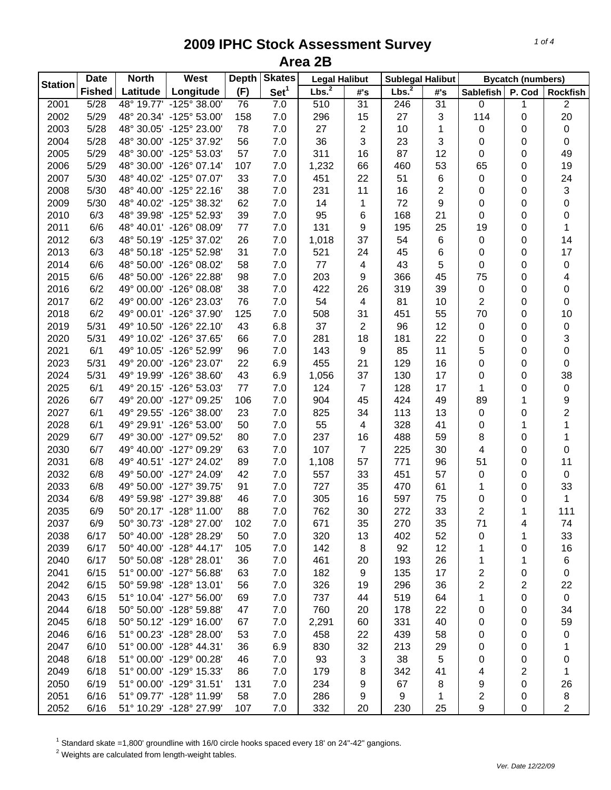| <b>Station</b> | <b>Date</b>   | West<br><b>North</b> |                         | <b>Depth</b> | <b>Skates</b>    | <b>Legal Halibut</b> |                     | <b>Sublegal Halibut</b> |                | <b>Bycatch (numbers)</b> |             |                         |
|----------------|---------------|----------------------|-------------------------|--------------|------------------|----------------------|---------------------|-------------------------|----------------|--------------------------|-------------|-------------------------|
|                | <b>Fished</b> | Latitude             | Longitude               | (F)          | Set <sup>1</sup> | Lbs. <sup>2</sup>    | $\#^{\centerdot}$ s | Lbs. <sup>2</sup>       | #'s            | <b>Sablefish</b>         | P. Cod      | <b>Rockfish</b>         |
| 2001           | 5/28          |                      | 48° 19.77' -125° 38.00' | 76           | 7.0              | 510                  | 31                  | 246                     | 31             | 0                        | 1           | $\overline{2}$          |
| 2002           | 5/29          |                      | 48° 20.34' -125° 53.00' | 158          | 7.0              | 296                  | 15                  | 27                      | 3              | 114                      | 0           | 20                      |
| 2003           | 5/28          |                      | 48° 30.05' -125° 23.00' | 78           | 7.0              | 27                   | 2                   | 10                      | 1              | 0                        | 0           | $\pmb{0}$               |
| 2004           | 5/28          |                      | 48° 30.00' -125° 37.92' | 56           | 7.0              | 36                   | 3                   | 23                      | 3              | 0                        | 0           | $\pmb{0}$               |
| 2005           | 5/29          |                      | 48° 30.00' -125° 53.03' | 57           | 7.0              | 311                  | 16                  | 87                      | 12             | 0                        | 0           | 49                      |
| 2006           | 5/29          |                      | 48° 30.00' -126° 07.14' | 107          | 7.0              | 1,232                | 66                  | 460                     | 53             | 65                       | 0           | 19                      |
| 2007           | 5/30          |                      | 48° 40.02' -125° 07.07' | 33           | 7.0              | 451                  | 22                  | 51                      | 6              | $\pmb{0}$                | 0           | 24                      |
| 2008           | 5/30          |                      | 48° 40.00' -125° 22.16' | 38           | 7.0              | 231                  | 11                  | 16                      | $\overline{c}$ | 0                        | 0           | $\sqrt{3}$              |
| 2009           | 5/30          |                      | 48° 40.02' -125° 38.32' | 62           | 7.0              | 14                   | 1                   | 72                      | 9              | 0                        | 0           | $\pmb{0}$               |
| 2010           | 6/3           |                      | 48° 39.98' -125° 52.93' | 39           | 7.0              | 95                   | 6                   | 168                     | 21             | 0                        | 0           | $\pmb{0}$               |
| 2011           | 6/6           |                      | 48° 40.01' -126° 08.09' | 77           | 7.0              | 131                  | 9                   | 195                     | 25             | 19                       | 0           | 1                       |
| 2012           | 6/3           |                      | 48° 50.19' -125° 37.02' | 26           | 7.0              | 1,018                | 37                  | 54                      | 6              | 0                        | 0           | 14                      |
| 2013           | 6/3           |                      | 48° 50.18' -125° 52.98' | 31           | 7.0              | 521                  | 24                  | 45                      | 6              | 0                        | 0           | 17                      |
| 2014           | 6/6           |                      | 48° 50.00' -126° 08.02' | 58           | 7.0              | 77                   | 4                   | 43                      | 5              | 0                        | 0           | $\pmb{0}$               |
| 2015           | 6/6           |                      | 48° 50.00' -126° 22.88' | 98           | 7.0              | 203                  | 9                   | 366                     | 45             | 75                       | 0           | 4                       |
| 2016           | 6/2           |                      | 49° 00.00' -126° 08.08' | 38           | 7.0              | 422                  | 26                  | 319                     | 39             | 0                        | 0           | $\pmb{0}$               |
| 2017           | 6/2           |                      | 49° 00.00' -126° 23.03' | 76           | 7.0              | 54                   | 4                   | 81                      | 10             | 2                        | 0           | $\pmb{0}$               |
| 2018           | 6/2           |                      | 49° 00.01' -126° 37.90' | 125          | 7.0              | 508                  | 31                  | 451                     | 55             | 70                       | 0           | 10                      |
| 2019           | 5/31          |                      | 49° 10.50' -126° 22.10' | 43           | 6.8              | 37                   | $\overline{c}$      | 96                      | 12             | 0                        | 0           | $\pmb{0}$               |
| 2020           | 5/31          |                      | 49° 10.02' -126° 37.65' | 66           | 7.0              | 281                  | 18                  | 181                     | 22             | 0                        | 0           | 3                       |
| 2021           | 6/1           |                      | 49° 10.05' -126° 52.99' | 96           | 7.0              | 143                  | 9                   | 85                      | 11             | 5                        | 0           | $\pmb{0}$               |
| 2023           | 5/31          |                      | 49° 20.00' -126° 23.07' | 22           | 6.9              | 455                  | 21                  | 129                     | 16             | 0                        | 0           | $\pmb{0}$               |
| 2024           | 5/31          |                      | 49° 19.99' -126° 38.60' | 43           | 6.9              | 1,056                | 37                  | 130                     | 17             | 0                        | 0           | 38                      |
| 2025           | 6/1           |                      | 49° 20.15' -126° 53.03' | 77           | 7.0              | 124                  | $\overline{7}$      | 128                     | 17             | 1                        | 0           | $\pmb{0}$               |
| 2026           | 6/7           |                      | 49° 20.00' -127° 09.25' | 106          | 7.0              | 904                  | 45                  | 424                     | 49             | 89                       | 1           | 9                       |
| 2027           | 6/1           |                      | 49° 29.55' -126° 38.00' | 23           | 7.0              | 825                  | 34                  | 113                     | 13             | 0                        | 0           | $\overline{\mathbf{c}}$ |
| 2028           | 6/1           |                      | 49° 29.91' -126° 53.00' | 50           | 7.0              | 55                   | 4                   | 328                     | 41             | 0                        | 1           | $\mathbf 1$             |
| 2029           | 6/7           |                      | 49° 30.00' -127° 09.52' | 80           | 7.0              | 237                  | 16                  | 488                     | 59             | 8                        | 0           | $\mathbf{1}$            |
| 2030           | 6/7           |                      | 49° 40.00' -127° 09.29' | 63           | 7.0              | 107                  | $\overline{7}$      | 225                     | 30             | 4                        | 0           | $\pmb{0}$               |
| 2031           | 6/8           |                      | 49° 40.51' -127° 24.02' | 89           | 7.0              | 1,108                | 57                  | 771                     | 96             | 51                       | 0           | 11                      |
| 2032           | 6/8           |                      | 49° 50.00' -127° 24.09' | 42           | 7.0              | 557                  | 33                  | 451                     | 57             | 0                        | 0           | $\pmb{0}$               |
| 2033           | 6/8           |                      | 49° 50.00' -127° 39.75' | 91           | 7.0              | 727                  | 35                  | 470                     | 61             | 1                        | 0           | 33                      |
| 2034           | 6/8           |                      | 49° 59.98' -127° 39.88' | 46           | 7.0              | 305                  | 16                  | 597                     | 75             | 0                        | 0           | 1                       |
| 2035           | 6/9           |                      | 50° 20.17' -128° 11.00' | 88           | 7.0              | 762                  | 30                  | 272                     | 33             | $\overline{c}$           | 1           | 111                     |
| 2037           | 6/9           |                      | 50° 30.73' -128° 27.00' | 102          | 7.0              | 671                  | 35                  | 270                     | 35             | 71                       | 4           | 74                      |
| 2038           | 6/17          |                      | 50° 40.00' -128° 28.29' | 50           | 7.0              | 320                  | 13                  | 402                     | 52             | 0                        | 1           | 33                      |
| 2039           | 6/17          |                      | 50° 40.00' -128° 44.17' | 105          | 7.0              | 142                  | 8                   | 92                      | 12             | 1                        | 0           | 16                      |
| 2040           | 6/17          |                      | 50° 50.08' -128° 28.01' | 36           | 7.0              | 461                  | 20                  | 193                     | 26             | 1                        | 1           | 6                       |
| 2041           | 6/15          |                      | 51° 00.00' -127° 56.88' | 63           | 7.0              | 182                  | 9                   | 135                     | 17             | 2                        | 0           | 0                       |
| 2042           | 6/15          |                      | 50° 59.98' -128° 13.01' | 56           | 7.0              | 326                  | 19                  | 296                     | 36             | $\overline{\mathbf{c}}$  | 2           | 22                      |
| 2043           | 6/15          |                      | 51° 10.04' -127° 56.00' | 69           | 7.0              | 737                  | 44                  | 519                     | 64             | 1                        | $\pmb{0}$   | $\pmb{0}$               |
| 2044           | 6/18          |                      | 50° 50.00' -128° 59.88' | 47           | 7.0              | 760                  | 20                  | 178                     | 22             | 0                        | 0           | 34                      |
| 2045           | 6/18          |                      | 50° 50.12' -129° 16.00' | 67           | 7.0              | 2,291                | 60                  | 331                     | 40             | 0                        | 0           | 59                      |
| 2046           | 6/16          |                      | 51° 00.23' -128° 28.00' | 53           | 7.0              | 458                  | 22                  | 439                     | 58             | 0                        | 0           | 0                       |
| 2047           | 6/10          |                      | 51° 00.00' -128° 44.31' | 36           | 6.9              | 830                  | 32                  | 213                     | 29             | 0                        | 0           | 1                       |
| 2048           | 6/18          |                      | 51° 00.00' -129° 00.28' | 46           | 7.0              | 93                   | 3                   | 38                      | 5              | 0                        | 0           | 0                       |
| 2049           | 6/18          |                      | 51° 00.00' -129° 15.33' | 86           | 7.0              | 179                  | 8                   | 342                     | 41             | 4                        | 2           | 1                       |
| 2050           | 6/19          |                      | 51° 00.00' -129° 31.51' | 131          | 7.0              | 234                  | 9                   | 67                      | 8              | 9                        | 0           | 26                      |
| 2051           | 6/16          |                      | 51° 09.77' -128° 11.99' | 58           | 7.0              | 286                  | 9                   | 9                       | 1              | 2                        | 0           | 8                       |
| 2052           | 6/16          |                      | 51° 10.29' -128° 27.99' | 107          | 7.0              | 332                  | 20                  | 230                     | 25             | 9                        | $\mathbf 0$ | $\overline{2}$          |

 $^1$  Standard skate =1,800' groundline with 16/0 circle hooks spaced every 18' on 24"-42" gangions.<br><sup>2</sup> Weights are calculated from length-weight tables.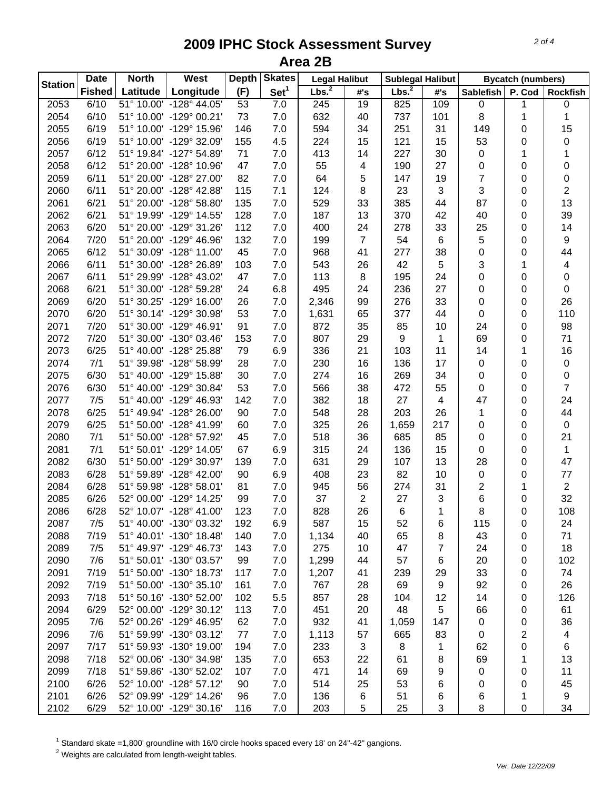| <b>Station</b> | <b>Date</b>   | <b>North</b> | West                    | <b>Depth</b> | <b>Skates</b>    |                   | <b>Legal Halibut</b><br><b>Sublegal Halibut</b> |                   |                |                         | <b>Bycatch (numbers)</b> |                 |
|----------------|---------------|--------------|-------------------------|--------------|------------------|-------------------|-------------------------------------------------|-------------------|----------------|-------------------------|--------------------------|-----------------|
|                | <b>Fished</b> | Latitude     | Longitude               | (F)          | Set <sup>1</sup> | Lbs. <sup>2</sup> | #'s                                             | Lbs. <sup>2</sup> | #'s            | <b>Sablefish</b>        | P. Cod                   | <b>Rockfish</b> |
| 2053           | 6/10          |              | 51° 10.00' -128° 44.05' | 53           | 7.0              | 245               | 19                                              | 825               | 109            | 0                       | 1                        | $\pmb{0}$       |
| 2054           | 6/10          |              | 51° 10.00' -129° 00.21' | 73           | 7.0              | 632               | 40                                              | 737               | 101            | 8                       | 1                        | 1               |
| 2055           | 6/19          |              | 51° 10.00' -129° 15.96' | 146          | 7.0              | 594               | 34                                              | 251               | 31             | 149                     | 0                        | 15              |
| 2056           | 6/19          |              | 51° 10.00' -129° 32.09' | 155          | 4.5              | 224               | 15                                              | 121               | 15             | 53                      | 0                        | 0               |
| 2057           | 6/12          |              | 51° 19.84' -127° 54.89' | 71           | 7.0              | 413               | 14                                              | 227               | 30             | 0                       | 1                        | 1               |
| 2058           | 6/12          |              | 51° 20.00' -128° 10.96' | 47           | 7.0              | 55                | 4                                               | 190               | 27             | 0                       | 0                        | 0               |
| 2059           | 6/11          |              | 51° 20.00' -128° 27.00' | 82           | 7.0              | 64                | 5                                               | 147               | 19             | $\overline{7}$          | 0                        | 0               |
| 2060           | 6/11          |              | 51° 20.00' -128° 42.88' | 115          | 7.1              | 124               | 8                                               | 23                | 3              | 3                       | 0                        | $\overline{2}$  |
| 2061           | 6/21          |              | 51° 20.00' -128° 58.80' | 135          | 7.0              | 529               | 33                                              | 385               | 44             | 87                      | 0                        | 13              |
| 2062           | 6/21          |              | 51° 19.99' -129° 14.55' | 128          | 7.0              | 187               | 13                                              | 370               | 42             | 40                      | 0                        | 39              |
| 2063           | 6/20          |              | 51° 20.00' -129° 31.26' | 112          | 7.0              | 400               | 24                                              | 278               | 33             | 25                      | 0                        | 14              |
| 2064           | 7/20          |              | 51° 20.00' -129° 46.96' | 132          | 7.0              | 199               | 7                                               | 54                | 6              | 5                       | 0                        | 9               |
| 2065           | 6/12          |              | 51° 30.09' -128° 11.00' | 45           | 7.0              | 968               | 41                                              | 277               | 38             | 0                       | 0                        | 44              |
| 2066           | 6/11          |              | 51° 30.00' -128° 26.89' | 103          | 7.0              | 543               | 26                                              | 42                | $\sqrt{5}$     | 3                       | 1                        | 4               |
| 2067           | 6/11          |              | 51° 29.99' -128° 43.02' | 47           | 7.0              | 113               | 8                                               | 195               | 24             | 0                       | 0                        | $\pmb{0}$       |
| 2068           | 6/21          |              | 51° 30.00' -128° 59.28' | 24           | 6.8              | 495               | 24                                              | 236               | 27             | 0                       | 0                        | $\pmb{0}$       |
| 2069           | 6/20          |              | 51° 30.25' -129° 16.00' | 26           | 7.0              | 2,346             | 99                                              | 276               | 33             | 0                       | 0                        | 26              |
| 2070           | 6/20          |              | 51° 30.14' -129° 30.98' | 53           | 7.0              | 1,631             | 65                                              | 377               | 44             | 0                       | 0                        | 110             |
| 2071           | 7/20          |              | 51° 30.00' -129° 46.91' | 91           | 7.0              | 872               | 35                                              | 85                | 10             | 24                      | 0                        | 98              |
| 2072           | 7/20          |              | 51° 30.00' -130° 03.46' | 153          | 7.0              | 807               | 29                                              | 9                 | 1              | 69                      | 0                        | 71              |
| 2073           | 6/25          |              | 51° 40.00' -128° 25.88' | 79           | 6.9              | 336               | 21                                              | 103               | 11             | 14                      | 1                        | 16              |
| 2074           | 7/1           |              | 51° 39.98' -128° 58.99' | 28           | 7.0              | 230               | 16                                              | 136               | 17             | 0                       | 0                        | $\pmb{0}$       |
| 2075           | 6/30          |              | 51° 40.00' -129° 15.88' | 30           | 7.0              | 274               | 16                                              | 269               | 34             | 0                       | 0                        | $\pmb{0}$       |
| 2076           | 6/30          |              | 51° 40.00' -129° 30.84' | 53           | 7.0              | 566               | 38                                              | 472               | 55             | 0                       | 0                        | $\overline{7}$  |
| 2077           | 7/5           |              | 51° 40.00' -129° 46.93' | 142          | 7.0              | 382               | 18                                              | 27                | $\overline{4}$ | 47                      | $\pmb{0}$                | 24              |
| 2078           | 6/25          |              | 51° 49.94' -128° 26.00' | 90           | 7.0              | 548               | 28                                              | 203               | 26             | 1                       | $\,0\,$                  | 44              |
| 2079           | 6/25          |              | 51° 50.00' -128° 41.99' | 60           | 7.0              | 325               | 26                                              | 1,659             | 217            | 0                       | $\pmb{0}$                | $\pmb{0}$       |
| 2080           | 7/1           |              | 51° 50.00' -128° 57.92' | 45           | 7.0              | 518               | 36                                              | 685               | 85             | 0                       | 0                        | 21              |
| 2081           | 7/1           |              | 51° 50.01' -129° 14.05' | 67           | 6.9              | 315               | 24                                              | 136               | 15             | $\mathbf 0$             | 0                        | $\mathbf{1}$    |
| 2082           | 6/30          |              | 51° 50.00' -129° 30.97' | 139          | 7.0              | 631               | 29                                              | 107               | 13             | 28                      | 0                        | 47              |
| 2083           | 6/28          |              | 51° 59.89' -128° 42.00' | 90           | 6.9              | 408               | 23                                              | 82                | 10             | 0                       | 0                        | $77$            |
| 2084           | 6/28          |              | 51° 59.98' -128° 58.01' | 81           | 7.0              | 945               | 56                                              | 274               | 31             | $\overline{\mathbf{c}}$ | 1                        | $\overline{c}$  |
| 2085           | 6/26          |              | 52° 00.00' -129° 14.25' | 99           | 7.0              | 37                | 2                                               | 27                | 3              | 6                       | 0                        | 32              |
| 2086           | 6/28          |              | 52° 10.07' -128° 41.00' | 123          | 7.0              | 828               | 26                                              | 6                 | 1              | 8                       | 0                        | 108             |
| 2087           | 7/5           |              | 51° 40.00' -130° 03.32' | 192          | 6.9              | 587               | 15                                              | 52                | 6              | 115                     | 0                        | 24              |
| 2088           | 7/19          |              | 51° 40.01' -130° 18.48' | 140          | 7.0              | 1,134             | 40                                              | 65                | 8              | 43                      | 0                        | 71              |
| 2089           | 7/5           |              | 51° 49.97' -129° 46.73' | 143          | 7.0              | 275               | 10                                              | 47                | 7              | 24                      | 0                        | 18              |
| 2090           | 7/6           |              | 51° 50.01' -130° 03.57' | 99           | 7.0              | 1,299             | 44                                              | 57                | 6              | 20                      | 0                        | 102             |
| 2091           | 7/19          |              | 51° 50.00' -130° 18.73' | 117          | 7.0              | 1,207             | 41                                              | 239               | 29             | 33                      | 0                        | 74              |
| 2092           | 7/19          |              | 51° 50.00' -130° 35.10' | 161          | 7.0              | 767               | 28                                              | 69                | 9              | 92                      | 0                        | 26              |
| 2093           | 7/18          |              | 51° 50.16' -130° 52.00' | 102          | 5.5              | 857               | 28                                              | 104               | 12             | 14                      | 0                        | 126             |
| 2094           | 6/29          |              | 52° 00.00' -129° 30.12' | 113          | 7.0              | 451               | 20                                              | 48                | 5              | 66                      | 0                        | 61              |
| 2095           | 7/6           |              | 52° 00.26' -129° 46.95' | 62           | 7.0              | 932               | 41                                              | 1,059             | 147            | 0                       | 0                        | 36              |
|                | 7/6           |              | 51° 59.99' -130° 03.12' |              |                  |                   |                                                 |                   |                |                         |                          |                 |
| 2096<br>2097   |               |              | 51° 59.93' -130° 19.00' | 77           | 7.0              | 1,113             | 57                                              | 665               | 83             | 0                       | 2                        | 4               |
|                | 7/17          |              |                         | 194          | 7.0              | 233               | 3                                               | 8                 | 1              | 62                      | 0                        | 6               |
| 2098           | 7/18          |              | 52° 00.06' -130° 34.98' | 135          | 7.0              | 653               | 22                                              | 61                | 8              | 69                      | 1                        | 13              |
| 2099           | 7/18          |              | 51° 59.86' -130° 52.02' | 107          | 7.0              | 471               | 14                                              | 69                | 9              | 0                       | 0                        | 11              |
| 2100           | 6/26          |              | 52° 10.00' -128° 57.12' | 90           | 7.0              | 514               | 25                                              | 53                | 6              | 0                       | 0                        | 45              |
| 2101           | 6/26          |              | 52° 09.99' -129° 14.26' | 96           | 7.0              | 136               | 6                                               | 51                | 6              | 6                       | 1                        | 9               |
| 2102           | 6/29          |              | 52° 10.00' -129° 30.16' | 116          | 7.0              | 203               | 5                                               | 25                | 3              | 8                       | 0                        | 34              |

 $^1$  Standard skate =1,800' groundline with 16/0 circle hooks spaced every 18' on 24"-42" gangions.<br><sup>2</sup> Weights are calculated from length-weight tables.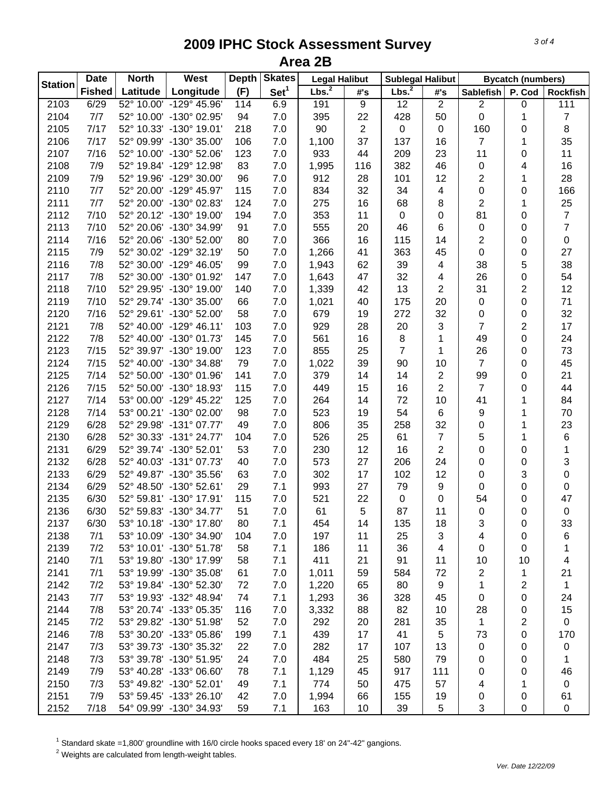| <b>Station</b> | <b>Date</b>   | <b>North</b> | <b>West</b>             | <b>Depth</b> | <b>Skates</b>    |                   | <b>Legal Halibut</b><br><b>Sublegal Halibut</b> |                   |                |                         | <b>Bycatch (numbers)</b> |                  |  |
|----------------|---------------|--------------|-------------------------|--------------|------------------|-------------------|-------------------------------------------------|-------------------|----------------|-------------------------|--------------------------|------------------|--|
|                | <b>Fished</b> | Latitude     | Longitude               | (F)          | Set <sup>1</sup> | Lbs. <sup>2</sup> | #'s                                             | Lbs. <sup>2</sup> | #'s            | <b>Sablefish</b>        | P. Cod                   | <b>Rockfish</b>  |  |
| 2103           | 6/29          | 52° 10.00'   | -129° 45.96'            | 114          | 6.9              | 191               | 9                                               | 12                | $\overline{2}$ | $\overline{2}$          | 0                        | 111              |  |
| 2104           | 7/7           |              | 52° 10.00' -130° 02.95' | 94           | 7.0              | 395               | 22                                              | 428               | 50             | 0                       | 1                        | $\boldsymbol{7}$ |  |
| 2105           | 7/17          |              | 52° 10.33' -130° 19.01' | 218          | 7.0              | 90                | $\overline{c}$                                  | $\pmb{0}$         | $\pmb{0}$      | 160                     | 0                        | 8                |  |
| 2106           | 7/17          |              | 52° 09.99' -130° 35.00' | 106          | 7.0              | 1,100             | 37                                              | 137               | 16             | 7                       | 1                        | 35               |  |
| 2107           | 7/16          |              | 52° 10.00' -130° 52.06' | 123          | 7.0              | 933               | 44                                              | 209               | 23             | 11                      | 0                        | 11               |  |
| 2108           | 7/9           |              | 52° 19.84' -129° 12.98' | 83           | 7.0              | 1,995             | 116                                             | 382               | 46             | 0                       | 4                        | 16               |  |
| 2109           | 7/9           |              | 52° 19.96' -129° 30.00' | 96           | 7.0              | 912               | 28                                              | 101               | 12             | 2                       | 1                        | 28               |  |
| 2110           | 7/7           |              | 52° 20.00' -129° 45.97' | 115          | 7.0              | 834               | 32                                              | 34                | 4              | 0                       | 0                        | 166              |  |
| 2111           | 7/7           |              | 52° 20.00' -130° 02.83' | 124          | 7.0              | 275               | 16                                              | 68                | 8              | $\overline{\mathbf{c}}$ | 1                        | 25               |  |
| 2112           | 7/10          |              | 52° 20.12' -130° 19.00' | 194          | 7.0              | 353               | 11                                              | $\pmb{0}$         | 0              | 81                      | 0                        | $\overline{7}$   |  |
| 2113           | 7/10          |              | 52° 20.06' -130° 34.99' | 91           | 7.0              | 555               | 20                                              | 46                | 6              | 0                       | 0                        | $\overline{7}$   |  |
| 2114           | 7/16          |              | 52° 20.06' -130° 52.00' | 80           | 7.0              | 366               | 16                                              | 115               | 14             | $\overline{\mathbf{c}}$ | 0                        | 0                |  |
| 2115           | 7/9           |              | 52° 30.02' -129° 32.19' | 50           | 7.0              | 1,266             | 41                                              | 363               | 45             | 0                       | 0                        | 27               |  |
| 2116           | 7/8           |              | 52° 30.00' -129° 46.05' | 99           | 7.0              | 1,943             | 62                                              | 39                | 4              | 38                      | 5                        | 38               |  |
| 2117           | 7/8           |              | 52° 30.00' -130° 01.92' | 147          | 7.0              | 1,643             | 47                                              | 32                | 4              | 26                      | 0                        | 54               |  |
| 2118           | 7/10          |              | 52° 29.95' -130° 19.00' | 140          | 7.0              | 1,339             | 42                                              | 13                | 2              | 31                      | 2                        | 12               |  |
| 2119           | 7/10          |              | 52° 29.74' -130° 35.00' | 66           | 7.0              | 1,021             | 40                                              | 175               | 20             | 0                       | 0                        | 71               |  |
| 2120           | 7/16          |              | 52° 29.61' -130° 52.00' | 58           | 7.0              | 679               | 19                                              | 272               | 32             | 0                       | 0                        | 32               |  |
| 2121           | 7/8           |              | 52° 40.00' -129° 46.11' | 103          | 7.0              | 929               | 28                                              | 20                | 3              | $\overline{7}$          | 2                        | 17               |  |
| 2122           | 7/8           |              | 52° 40.00' -130° 01.73' | 145          | 7.0              | 561               | 16                                              | $\,8\,$           | 1              | 49                      | 0                        | 24               |  |
| 2123           | 7/15          |              | 52° 39.97' -130° 19.00' | 123          | 7.0              | 855               | 25                                              | 7                 | 1              | 26                      | 0                        | 73               |  |
| 2124           | 7/15          |              | 52° 40.00' -130° 34.88' | 79           | 7.0              | 1,022             | 39                                              | 90                | 10             | $\overline{7}$          |                          | 45               |  |
| 2125           | 7/14          |              | 52° 50.00' -130° 01.96' | 141          | 7.0              | 379               | 14                                              | 14                | $\overline{2}$ | 99                      | 0                        | 21               |  |
| 2126           | 7/15          |              | 52° 50.00' -130° 18.93' | 115          | 7.0              | 449               | 15                                              | 16                | $\overline{2}$ | $\overline{7}$          | 0                        | 44               |  |
| 2127           | 7/14          |              | 53° 00.00' -129° 45.22' |              |                  |                   | 14                                              | 72                | 10             |                         | 0                        | 84               |  |
|                |               |              |                         | 125          | 7.0              | 264               |                                                 |                   |                | 41                      | 1                        |                  |  |
| 2128           | 7/14          |              | 53° 00.21' -130° 02.00' | 98           | 7.0              | 523               | 19                                              | 54                | $\,6$          | 9                       | 1                        | 70               |  |
| 2129           | 6/28          |              | 52° 29.98' -131° 07.77' | 49           | 7.0              | 806               | 35                                              | 258               | 32             | 0                       | 1                        | 23               |  |
| 2130           | 6/28          |              | 52° 30.33' -131° 24.77' | 104          | 7.0              | 526               | 25                                              | 61                | $\overline{7}$ | 5                       | 1                        | 6                |  |
| 2131           | 6/29          |              | 52° 39.74' -130° 52.01' | 53           | 7.0              | 230               | 12                                              | 16                | $\overline{2}$ | 0                       | 0                        | $\mathbf{1}$     |  |
| 2132           | 6/28          |              | 52° 40.03' -131° 07.73' | 40           | 7.0              | 573               | 27                                              | 206               | 24             | 0                       | 0                        | 3                |  |
| 2133           | 6/29          |              | 52° 49.87' -130° 35.56' | 63           | 7.0              | 302               | 17                                              | 102               | 12             | 0                       | 3                        | 0                |  |
| 2134           | 6/29          |              | 52° 48.50' -130° 52.61' | 29           | 7.1              | 993               | 27                                              | 79                | 9              | 0                       | 0                        | 0                |  |
| 2135           | 6/30          |              | 52° 59.81' -130° 17.91' | 115          | 7.0              | 521               | 22                                              | $\pmb{0}$         | 0              | 54                      | 0                        | 47               |  |
| 2136           | 6/30          |              | 52° 59.83' -130° 34.77' | 51           | 7.0              | 61                | 5                                               | 87                | 11             | 0                       | 0                        | $\pmb{0}$        |  |
| 2137           | 6/30          |              | 53° 10.18' -130° 17.80' | 80           | 7.1              | 454               | 14                                              | 135               | 18             | 3                       | 0                        | 33               |  |
| 2138           | 7/1           |              | 53° 10.09' -130° 34.90' | 104          | 7.0              | 197               | 11                                              | 25                | 3              | 4                       | 0                        | 6                |  |
| 2139           | 7/2           |              | 53° 10.01' -130° 51.78' | 58           | 7.1              | 186               | 11                                              | 36                | 4              | 0                       | 0                        | 1                |  |
| 2140           | 7/1           |              | 53° 19.80' -130° 17.99' | 58           | 7.1              | 411               | 21                                              | 91                | 11             | 10                      | 10                       | 4                |  |
| 2141           | 7/1           |              | 53° 19.99' -130° 35.08' | 61           | 7.0              | 1,011             | 59                                              | 584               | 72             | 2                       | 1                        | 21               |  |
| 2142           | 7/2           |              | 53° 19.84' -130° 52.30' | 72           | 7.0              | 1,220             | 65                                              | 80                | 9              | 1                       | 2                        | $\mathbf{1}$     |  |
| 2143           | 7/7           |              | 53° 19.93' -132° 48.94' | 74           | 7.1              | 1,293             | 36                                              | 328               | 45             | 0                       | 0                        | 24               |  |
| 2144           | 7/8           |              | 53° 20.74' -133° 05.35' | 116          | 7.0              | 3,332             | 88                                              | 82                | 10             | 28                      | 0                        | 15               |  |
| 2145           | 7/2           |              | 53° 29.82' -130° 51.98' | 52           | 7.0              | 292               | 20                                              | 281               | 35             | 1                       | 2                        | 0                |  |
| 2146           | 7/8           |              | 53° 30.20' -133° 05.86' | 199          | 7.1              | 439               | 17                                              | 41                | 5              | 73                      | 0                        | 170              |  |
| 2147           | 7/3           |              | 53° 39.73' -130° 35.32' | 22           | 7.0              | 282               | 17                                              | 107               | 13             | 0                       | 0                        | 0                |  |
| 2148           | 7/3           |              | 53° 39.78' -130° 51.95' | 24           | 7.0              | 484               | 25                                              | 580               | 79             | 0                       | 0                        | 1                |  |
| 2149           | 7/9           |              | 53° 40.28' -133° 06.60' | 78           | 7.1              | 1,129             | 45                                              | 917               | 111            | 0                       | 0                        | 46               |  |
| 2150           | 7/3           |              | 53° 49.82' -130° 52.01' | 49           | 7.1              | 774               | 50                                              | 475               | 57             | 4                       | 1                        | 0                |  |
| 2151           | 7/9           |              | 53° 59.45' -133° 26.10' | 42           | 7.0              | 1,994             | 66                                              | 155               | 19             | 0                       | 0                        | 61               |  |
| 2152           | 7/18          |              | 54° 09.99' -130° 34.93' | 59           | 7.1              | 163               | 10                                              | 39                | 5              | 3                       | 0                        | 0                |  |

 $^1$  Standard skate =1,800' groundline with 16/0 circle hooks spaced every 18' on 24"-42" gangions.<br><sup>2</sup> Weights are calculated from length-weight tables.